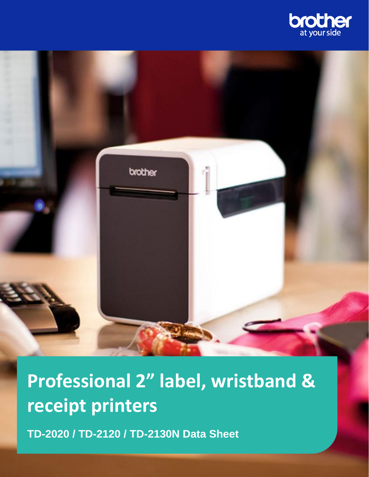



**Professional 2" label, wristband & receipt printers**

**TD-2020 / TD-2120 / TD-2130N Data Sheet**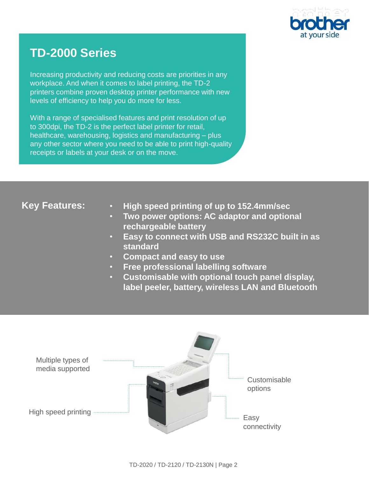

# **TD-2000 Series**

Increasing productivity and reducing costs are priorities in any workplace. And when it comes to label printing, the TD-2 printers combine proven desktop printer performance with new levels of efficiency to help you do more for less.

With a range of specialised features and print resolution of up to 300dpi, the TD-2 is the perfect label printer for retail, healthcare, warehousing, logistics and manufacturing – plus any other sector where you need to be able to print high-quality receipts or labels at your desk or on the move.

## **Key Features:**

- **High speed printing of up to 152.4mm/sec**
- **Two power options: AC adaptor and optional rechargeable battery**
- **Easy to connect with USB and RS232C built in as standard**
- **Compact and easy to use**
- **Free professional labelling software**
- **Customisable with optional touch panel display, label peeler, battery, wireless LAN and Bluetooth**

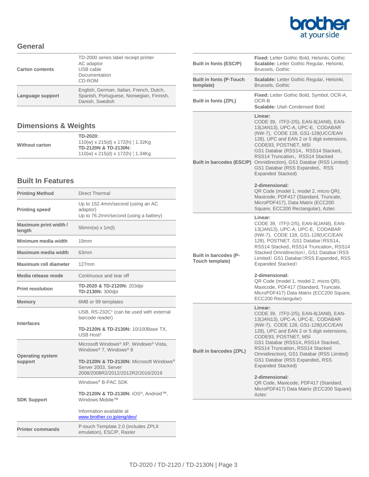

#### **General**

| <b>Carton contents</b> | TD-2000 series label receipt printer<br>AC adaptor<br>USB cable<br>Documentation<br>CD-ROM              |
|------------------------|---------------------------------------------------------------------------------------------------------|
| Language support       | English, German, Italian, French, Dutch,<br>Spanish, Portuguese, Norwegian, Finnish,<br>Danish, Swedish |

### **Dimensions & Weights**

| <b>Without carton</b> | TD-2020:<br>$110(w)$ x 215(d) x 172(h) $\frac{1}{2}$ 1.32Kg<br>TD-2120N & TD-2130N: |
|-----------------------|-------------------------------------------------------------------------------------|
|                       | $110(w)$ x 215(d) x 172(h) $\frac{1}{2}$ 1.34Kg                                     |

#### **Built In Features**

| <b>Printing Method</b>             | <b>Direct Thermal</b>                                                                               |
|------------------------------------|-----------------------------------------------------------------------------------------------------|
| <b>Printing speed</b>              | Up to 152.4mm/second (using an AC<br>adaptor)<br>Up to 76.2mm/second (using a battery)              |
| Maximum print width /<br>length    | 56mm(w) x 1m(l)                                                                                     |
| Minimum media width                | 19 <sub>mm</sub>                                                                                    |
| Maximum media width                | 63 <sub>mm</sub>                                                                                    |
| Maximum roll diameter              | 127mm                                                                                               |
| Media release mode                 | Continuous and tear off                                                                             |
| <b>Print resolution</b>            | TD-2020 & TD-2120N: 203dpi<br>TD-2130N: 300dpi                                                      |
| <b>Memory</b>                      | 6MB or 99 templates                                                                                 |
| <b>Interfaces</b>                  | USB, RS-232C <sup>1</sup> (can be used with external<br>barcode reader)                             |
|                                    | TD-2120N & TD-2130N: 10/100Base TX,<br>USB Host <sup>2</sup>                                        |
| <b>Operating system</b><br>support | Microsoft Windows® XP, Windows® Vista,<br>Windows® 7, Windows® 8                                    |
|                                    | TD-2120N & TD-2130N: Microsoft Windows®<br>Server 2003, Server<br>2008/2008R2/2012/2012R2/2016/2019 |
| <b>SDK Support</b>                 | Windows <sup>®</sup> B-PAC SDK                                                                      |
|                                    | TD-2120N & TD-2130N: iOS®, Android™,<br>Windows Mobile™                                             |
|                                    | Information available at<br>www.brother.co.jp/eng/dev/                                              |
| <b>Printer commands</b>            | P-touch Template 2.0 (includes ZPLII<br>emulation), ESC/P, Raster                                   |

| Built in fonts (ESC/P)                          | <b>Fixed:</b> Letter Gothic Bold, Helsinki, Gothic<br>Scalable: Letter Gothic Regular, Helsinki,<br>Brussels, Gothic                                                                                                                                                                                                                                                          |
|-------------------------------------------------|-------------------------------------------------------------------------------------------------------------------------------------------------------------------------------------------------------------------------------------------------------------------------------------------------------------------------------------------------------------------------------|
| <b>Built in fonts (P-Touch</b><br>template)     | Scalable: Letter Gothic Regular, Helsinki,<br>Brussels, Gothic                                                                                                                                                                                                                                                                                                                |
| <b>Built in fonts (ZPL)</b>                     | Fixed: Letter Gothic Bold, Symbol, OCR-A,<br>OCR-B<br><b>Scalable: Utah Condensed Bold</b>                                                                                                                                                                                                                                                                                    |
| <b>Built in barcodes (ESC/P)</b>                | Linear:<br>CODE 39, ITF(I-2/5), EAN-8(JAN8), EAN-<br>13(JAN13), UPC-A, UPC-E, CODABAR<br>(NW-7), CODE 128, GS1-128(UCC/EAN<br>128), UPC and EAN 2 or 5 digit extensions,<br>CODE93, POSTNET, MSI<br>GS1 Databar (RSS14, RSS14 Stacked,<br>RSS14 Truncation, RSS14 Stacked<br>Omnidirection), GS1 Databar (RSS Limited)<br>GS1 Databar (RSS Expanded, RSS<br>Expanded Stacked) |
|                                                 | 2-dimensional:<br>QR Code (model 1, model 2, micro QR),<br>Maxicode, PDF417 (Standard, Truncate,<br>MicroPDF417), Data Matrix (ECC200<br>Square, ECC200 Rectangular), Aztec                                                                                                                                                                                                   |
| <b>Built in barcodes (P-</b><br>Touch template) | Linear:<br>CODE 39, ITF(I-2/5), EAN-8(JAN8), EAN-<br>13(JAN13), UPC-A, UPC-E, CODABAR<br>(NW-7), CODE 128, GS1-128(UCC/EAN<br>128), POSTNET, GS1 Databar (RSS14,<br>RSS14 Stacked, RSS14 Truncation, RSS14<br>Stacked Omnidirection), GS1 Databar (RSS<br>Limited) GS1 Databar (RSS Expanded, RSS<br>Expanded Stacked)                                                        |
|                                                 | 2-dimensional:<br>QR Code (model 1, model 2, micro QR),<br>Maxicode, PDF417 (Standard, Truncate,<br>MicroPDF417) Data Matrix (ECC200 Square,<br>ECC200 Rectangular)                                                                                                                                                                                                           |
| <b>Built in barcodes (ZPL)</b>                  | Linear:<br>CODE 39, ITF(I-2/5), EAN-8(JAN8), EAN-<br>13(JAN13), UPC-A, UPC-E, CODABAR<br>(NW-7), CODE 128, GS1-128(UCC/EAN<br>128), UPC and EAN 2 or 5 digit extensions,<br>CODE93, POSTNET, MSI<br>GS1 Databar (RSS14, RSS14 Stacked,<br>RSS14 Truncation, RSS14 Stacked<br>Omnidirection), GS1 Databar (RSS Limited)<br>GS1 Databar (RSS Expanded, RSS<br>Expanded Stacked) |
|                                                 | 2-dimensional:<br>QR Code, Maxicode, PDF417 (Standard,<br>MicroPDF417) Data Matrix (ECC200 Square)<br>Aztec                                                                                                                                                                                                                                                                   |